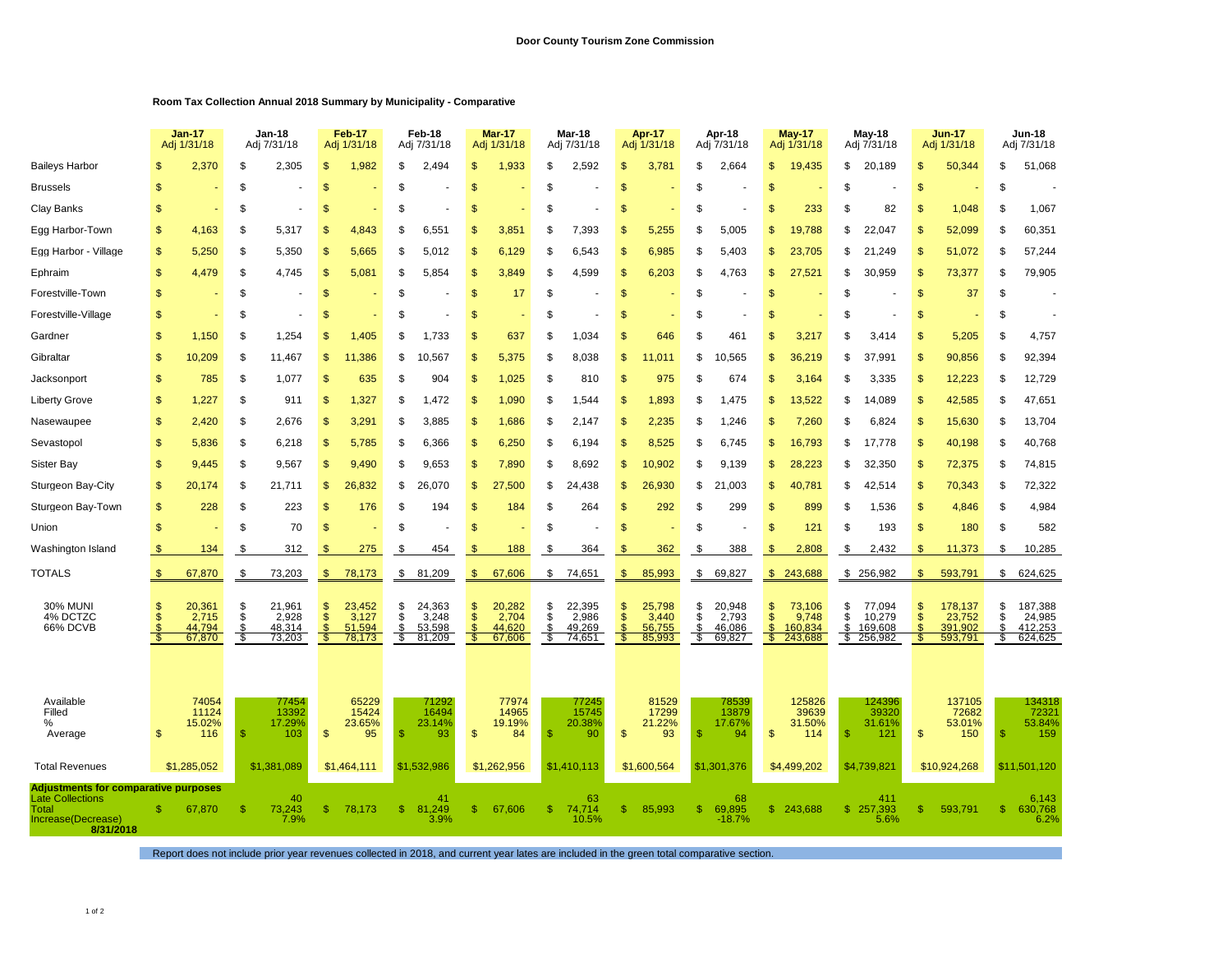## **Room Tax Collection Annual 2018 Summary by Municipality - Comparative**

|                                                                                                       |                | <b>Jan-17</b><br>Adj 1/31/18 |          | Jan-18<br>Adj 7/31/18    |            | <b>Feb-17</b><br>Adj 1/31/18 |               | Feb-18<br>Adj 7/31/18 |                     | Mar-17<br>Adj 1/31/18 |               | Mar-18<br>Adj 7/31/18 |                     | Apr-17<br>Adj 1/31/18 |           | Apr-18<br>Adj 7/31/18 |                    | <b>May-17</b><br>Adj 1/31/18 |                | May-18<br>Adj 7/31/18 |               | <b>Jun-17</b><br>Adj 1/31/18 |          | <b>Jun-18</b><br>Adj 7/31/18 |
|-------------------------------------------------------------------------------------------------------|----------------|------------------------------|----------|--------------------------|------------|------------------------------|---------------|-----------------------|---------------------|-----------------------|---------------|-----------------------|---------------------|-----------------------|-----------|-----------------------|--------------------|------------------------------|----------------|-----------------------|---------------|------------------------------|----------|------------------------------|
| <b>Baileys Harbor</b>                                                                                 |                | 2,370                        | \$       | 2,305                    | \$.        | 1,982                        | \$            | 2,494                 |                     | 1,933                 | \$            | 2,592                 | \$                  | 3,781                 | \$        | 2,664                 | \$                 | 19,435                       | \$             | 20,189                | \$            | 50,344                       | \$       | 51,068                       |
| <b>Brussels</b>                                                                                       | S              |                              | S        |                          | S          |                              | £.            |                       | <b>S</b>            |                       | \$            |                       | S                   |                       | S         |                       | S                  |                              | \$             |                       | \$            |                              | \$       |                              |
| Clay Banks                                                                                            | \$             |                              | \$       |                          | \$.        |                              | \$            |                       | \$                  |                       | \$            |                       | \$                  |                       | S         |                       | S                  | 233                          | \$             | 82                    | \$            | 1,048                        | \$       | 1,067                        |
| Egg Harbor-Town                                                                                       | \$             | 4,163                        | \$       | 5,317                    | S          | 4,843                        | S             | 6,551                 | <b>S</b>            | 3,851                 | S             | 7,393                 | \$                  | 5,255                 | S         | 5,005                 | S                  | 19,788                       | S              | 22,047                | \$            | 52,099                       | \$       | 60,351                       |
| Egg Harbor - Village                                                                                  | \$             | 5,250                        | \$       | 5,350                    | \$         | 5,665                        | \$            | 5,012                 | \$                  | 6,129                 | \$            | 6,543                 | \$                  | 6,985                 | \$        | 5,403                 | \$                 | 23,705                       | \$             | 21,249                | \$            | 51,072                       | \$       | 57,244                       |
| Ephraim                                                                                               | $\mathfrak{s}$ | 4,479                        | \$       | 4,745                    | S          | 5,081                        | \$.           | 5,854                 | \$                  | 3,849                 | \$            | 4,599                 | S                   | 6,203                 | S         | 4,763                 | S                  | 27,521                       | \$             | 30,959                | \$            | 73,377                       | \$       | 79,905                       |
| Forestville-Town                                                                                      | \$             |                              | \$       |                          | \$         |                              | \$            |                       | $\mathbf{s}$        | 17                    | \$            |                       | \$                  |                       | \$        |                       | \$                 |                              | \$             |                       | \$            | 37                           | \$       |                              |
| Forestville-Village                                                                                   | \$             |                              | \$       | ÷,                       | S          |                              | S             |                       | <sup>\$</sup>       |                       | \$            |                       | $\mathcal{S}$       |                       | S         |                       | S                  |                              | \$             |                       | \$            |                              | \$       |                              |
| Gardner                                                                                               | $\mathsf{\$}$  | 1,150                        | \$       | 1,254                    | \$.        | 1,405                        | \$            | 1,733                 | $\mathbf{s}$        | 637                   | \$            | 1,034                 | \$                  | 646                   | \$        | 461                   | \$                 | 3,217                        | \$             | 3,414                 | \$            | 5,205                        | \$       | 4,757                        |
| Gibraltar                                                                                             | \$             | 10,209                       | \$       | 11,467                   | \$         | 11,386                       | \$            | 10,567                | \$                  | 5,375                 | \$            | 8,038                 | \$                  | .011                  | \$        | 10,565                | 9                  | 36,219                       | \$             | 37,991                | \$            | 90,856                       | \$       | 92,394                       |
| Jacksonport                                                                                           | \$             | 785                          | \$       | 1,077                    | \$         | 635                          | \$            | 904                   | $\mathbf{s}$        | 1,025                 | \$            | 810                   | \$                  | 975                   | \$        | 674                   | S                  | 3,164                        | \$             | 3,335                 | \$            | 12,223                       | \$       | 12,729                       |
| Liberty Grove                                                                                         | \$             | 1,227                        | \$       | 911                      | \$         | 1,327                        | \$            | 1,472                 | \$                  | 1,090                 | \$            | 1,544                 | \$                  | 1,893                 | \$        | 1,475                 | S                  | 13,522                       | \$             | 14,089                | \$            | 42,585                       | \$       | 47,651                       |
| Nasewaupee                                                                                            | \$             | 2,420                        | \$       | 2,676                    | \$         | 3,291                        | \$            | 3,885                 | \$                  | 1,686                 | \$            | 2,147                 | \$                  | 2,235                 | \$        | ,246                  | S                  | 7,260                        | \$             | 6,824                 | \$            | 15,630                       | \$       | 13,704                       |
| Sevastopol                                                                                            | $\mathsf{\$}$  | 5,836                        | \$       | 6,218                    | \$         | 5,785                        | \$            | 6,366                 | $\mathbf{s}$        | 6,250                 | \$            | 6,194                 | $\mathfrak{s}$      | 8,525                 | \$        | 6,745                 | \$                 | 16,793                       | \$             | 17,778                | \$            | 40,198                       | \$       | 40,768                       |
| Sister Bay                                                                                            | \$             | 9,445                        | \$       | 9,567                    | \$.        | 9,490                        | S             | 9,653                 | $\mathbb{S}$        | 7,890                 | \$            | 8,692                 | \$                  | 10,902                | \$        | 9,139                 | \$.                | 28,223                       | \$             | 32,350                | \$            | 72,375                       | \$       | 74,815                       |
| Sturgeon Bay-City                                                                                     | \$             | 20,174                       | \$       | 21,711                   | \$         | 26,832                       | \$            | 26,070                | \$                  | 27,500                | \$            | 24,438                | \$                  | 26,930                | \$        | 21,003                | \$                 | 40,781                       | \$             | 42,514                | \$            | 70,343                       | \$       | 72,322                       |
| Sturgeon Bay-Town                                                                                     | $\mathbb{S}$   | 228                          | \$       | 223                      | S          | 176                          | S             | 194                   | <sup>\$</sup>       | 184                   | \$            | 264                   | \$                  | 292                   | S         | 299                   | S                  | 899                          | S              | 1,536                 | $\mathbb{S}$  | 4,846                        | \$       | 4,984                        |
| Union                                                                                                 | \$             |                              | \$       | 70                       | \$         |                              | \$            |                       | $\mathbf{s}$        |                       | \$            |                       | \$                  |                       | \$        |                       | \$                 | 121                          | \$             | 193                   | $\mathsf{\$}$ | 180                          | \$       | 582                          |
| Washington Island                                                                                     |                | 134                          | \$       | 312                      | -S         | 275                          | \$            | 454                   |                     | 188                   | \$            | 364                   | S                   | 362                   | S         | 388                   | S                  | 2,808                        | \$             | 2,432                 | \$            | 11,373                       | S        | 10,285                       |
| TOTALS                                                                                                | \$             | 67,870                       | \$       | 73,203                   | \$         | 78,173                       | \$            | 81,209                | $\mathbf{\$}$       | 67,606                | \$            | 74,651                | \$                  | 85,993                | \$        | 69,827                | \$                 | 243,688                      |                | \$256,982             | \$            | 593,791                      | \$       | 624,625                      |
| <b>30% MUNI</b><br>4% DCTZC                                                                           | \$             | 20,361<br>2,715              | \$<br>S  | 21,961<br>2,928          | \$.<br>\$. | 23,452<br>3,127              | \$<br>S       | 24,363<br>3,248       | \$<br><sup>\$</sup> | 20,282<br>2,704       | \$<br>\$      | 22,395<br>2,986       | \$<br>$\mathcal{S}$ | 25,798<br>3,440       | \$<br>\$  | 20,948<br>2,793       | \$<br>S            | 73,106<br>9,748              | \$<br>S        | 77,094<br>10,279      | \$<br>\$      | 178,137<br>23,752            | \$<br>\$ | 187,388<br>24,985            |
| 66% DCVB                                                                                              | Š              | 44,794<br>67,870             | \$<br>\$ | 48,314<br>73,203         | S          | 51,594<br>78,173             | $\frac{1}{3}$ | 53,598<br>81,209      | <sup>\$</sup><br>\$ | 44.620<br>67,606      | \$<br>S       | 49,269<br>74,651      | $\mathbb{S}$<br>\$  | 56,755<br>85,993      | $$\$<br>S | 46,086<br>69,827      | $\mathbb{S}$<br>S. | 160.834<br>243,688           | \$             | 169,608<br>\$256,982  | \$            | 391.902<br>593,791           | \$<br>S. | 412,253<br>624,625           |
|                                                                                                       |                |                              |          |                          |            |                              |               |                       |                     |                       |               |                       |                     |                       |           |                       |                    |                              |                |                       |               |                              |          |                              |
|                                                                                                       |                | 74054                        |          |                          |            | 65229                        |               |                       |                     | 77974                 |               |                       |                     | 81529                 |           |                       |                    | 125826                       |                |                       |               | 137105                       |          | 134318                       |
| Available<br>Filled<br>%                                                                              |                | 11124                        |          | 77454<br>13392<br>17.29% |            | 15424                        |               | 71292<br>16494        |                     | 14965<br>19.19%       |               | 77245<br>15745        |                     | 17299                 |           | 78539<br>13879        |                    | 39639                        |                | 124396<br>39320       |               | 72682                        |          | 7232'<br>53.84%              |
| Average                                                                                               | $\mathfrak{s}$ | 15.02%<br>116                | \$       | 103                      | \$         | 23.65%<br>95                 | -S            | 23.14%<br>93          | $\mathbf{s}$        | 84                    | <sup>\$</sup> | 20.38%<br>90          | \$                  | 21.22%<br>93          | S         | 17.67%<br>94          | \$                 | 31.50%<br>114                | $\mathcal{S}$  | 31.61%<br>121         | \$            | 53.01%<br>150                | \$       | 159                          |
| <b>Total Revenues</b>                                                                                 |                | \$1,285,052                  |          | \$1,381,089              |            | \$1,464,111                  |               | \$1,532,986           |                     | \$1,262,956           |               | \$1,410,113           |                     | \$1,600,564           |           | \$1,301,376           |                    | \$4,499,202                  |                | \$4,739,821           |               | \$10,924,268                 |          | \$11.501.120                 |
| <b>Adjustments for comparative purposes</b><br><b>Late Collections</b><br>40<br>41<br>63<br>68<br>411 |                |                              |          |                          |            |                              |               |                       |                     |                       |               |                       |                     | 6,143                 |           |                       |                    |                              |                |                       |               |                              |          |                              |
| <b>Total</b><br>Increase(Decrease)<br>8/31/2018                                                       | \$.            | 67,870                       | \$.      | 73,243<br>7.9%           | -S         | 78,173                       | \$            | 81,249<br>3.9%        | \$.                 | 67,606                | \$.           | 74,714<br>10.5%       | \$                  | 85,993                | \$        | 69,895<br>$-18.7%$    |                    | \$243,688                    | $\mathbb{S}^-$ | 257,393<br>5.6%       | \$            | 593,791                      | \$       | 630,768<br>6.2%              |

Report does not include prior year revenues collected in 2018, and current year lates are included in the green total comparative section.